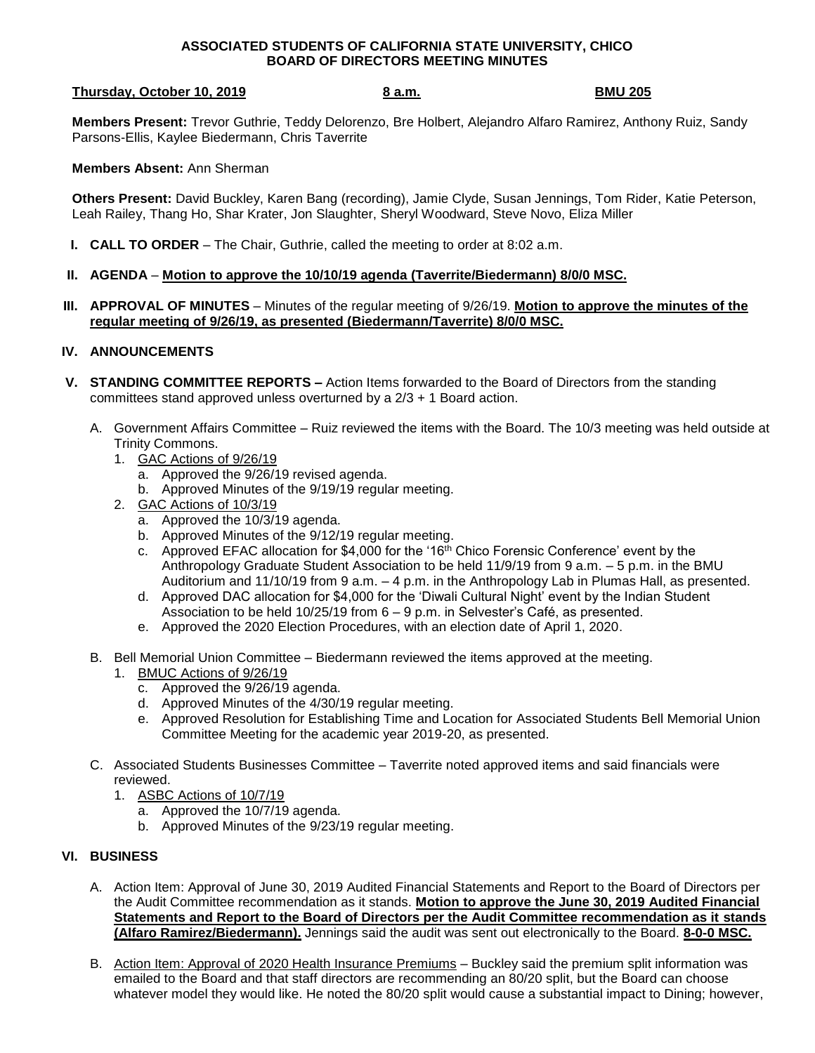## **ASSOCIATED STUDENTS OF CALIFORNIA STATE UNIVERSITY, CHICO BOARD OF DIRECTORS MEETING MINUTES**

## **Thursday, October 10, 2019 8 a.m. BMU 205**

**Members Present:** Trevor Guthrie, Teddy Delorenzo, Bre Holbert, Alejandro Alfaro Ramirez, Anthony Ruiz, Sandy Parsons-Ellis, Kaylee Biedermann, Chris Taverrite

**Members Absent:** Ann Sherman

**Others Present:** David Buckley, Karen Bang (recording), Jamie Clyde, Susan Jennings, Tom Rider, Katie Peterson, Leah Railey, Thang Ho, Shar Krater, Jon Slaughter, Sheryl Woodward, Steve Novo, Eliza Miller

- **I. CALL TO ORDER** The Chair, Guthrie, called the meeting to order at 8:02 a.m.
- **II. AGENDA Motion to approve the 10/10/19 agenda (Taverrite/Biedermann) 8/0/0 MSC.**
- **III. APPROVAL OF MINUTES** Minutes of the regular meeting of 9/26/19. **Motion to approve the minutes of the regular meeting of 9/26/19, as presented (Biedermann/Taverrite) 8/0/0 MSC.**

## **IV. ANNOUNCEMENTS**

- **V. STANDING COMMITTEE REPORTS –** Action Items forwarded to the Board of Directors from the standing committees stand approved unless overturned by a 2/3 + 1 Board action.
	- A. Government Affairs Committee Ruiz reviewed the items with the Board. The 10/3 meeting was held outside at Trinity Commons.
		- 1. GAC Actions of 9/26/19
			- a. Approved the 9/26/19 revised agenda.
			- b. Approved Minutes of the 9/19/19 regular meeting.
		- 2. GAC Actions of 10/3/19
			- a. Approved the 10/3/19 agenda.
			- b. Approved Minutes of the 9/12/19 regular meeting.
			- c. Approved EFAC allocation for \$4,000 for the '16<sup>th</sup> Chico Forensic Conference' event by the Anthropology Graduate Student Association to be held 11/9/19 from 9 a.m. – 5 p.m. in the BMU Auditorium and 11/10/19 from 9 a.m. – 4 p.m. in the Anthropology Lab in Plumas Hall, as presented.
			- d. Approved DAC allocation for \$4,000 for the 'Diwali Cultural Night' event by the Indian Student Association to be held 10/25/19 from 6 – 9 p.m. in Selvester's Café, as presented.
			- e. Approved the 2020 Election Procedures, with an election date of April 1, 2020.
	- B. Bell Memorial Union Committee Biedermann reviewed the items approved at the meeting.
		- 1. BMUC Actions of 9/26/19
			- c. Approved the 9/26/19 agenda.
			- d. Approved Minutes of the 4/30/19 regular meeting.
			- e. Approved Resolution for Establishing Time and Location for Associated Students Bell Memorial Union Committee Meeting for the academic year 2019-20, as presented.
	- C. Associated Students Businesses Committee Taverrite noted approved items and said financials were reviewed.
		- 1. ASBC Actions of 10/7/19
			- a. Approved the 10/7/19 agenda.
			- b. Approved Minutes of the 9/23/19 regular meeting.

## **VI. BUSINESS**

- A. Action Item: Approval of June 30, 2019 Audited Financial Statements and Report to the Board of Directors per the Audit Committee recommendation as it stands. **Motion to approve the June 30, 2019 Audited Financial Statements and Report to the Board of Directors per the Audit Committee recommendation as it stands (Alfaro Ramirez/Biedermann).** Jennings said the audit was sent out electronically to the Board. **8-0-0 MSC.**
- B. Action Item: Approval of 2020 Health Insurance Premiums Buckley said the premium split information was emailed to the Board and that staff directors are recommending an 80/20 split, but the Board can choose whatever model they would like. He noted the 80/20 split would cause a substantial impact to Dining; however,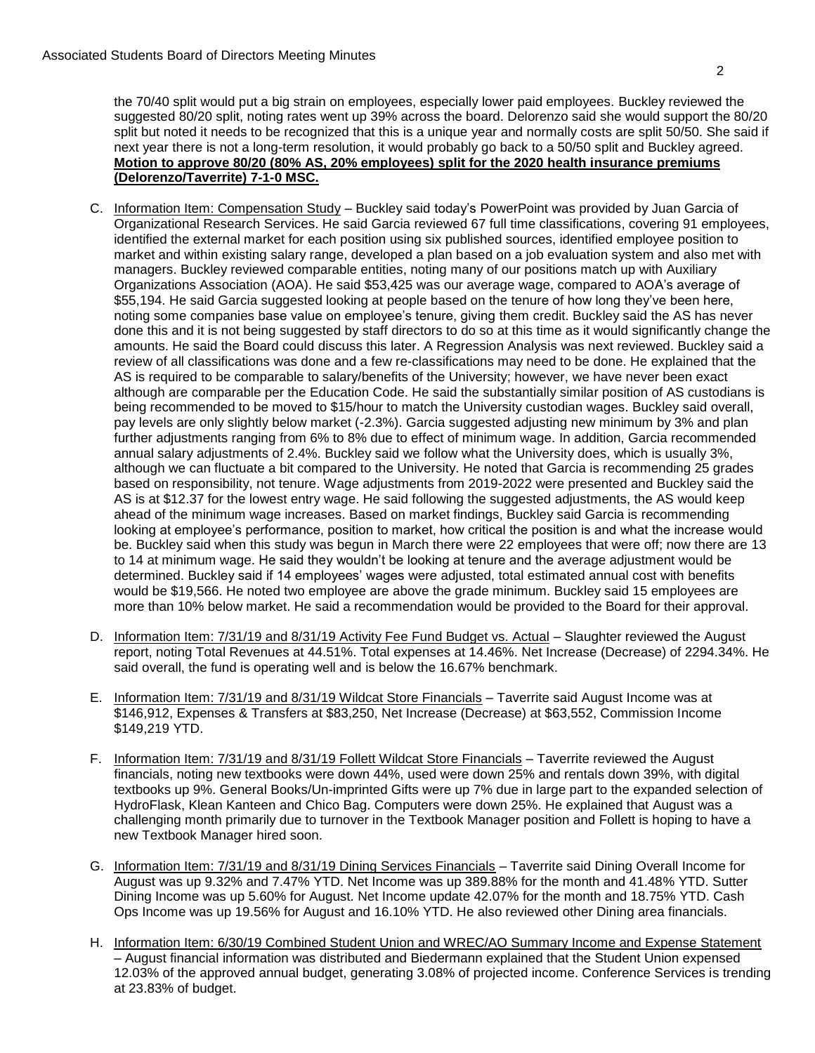the 70/40 split would put a big strain on employees, especially lower paid employees. Buckley reviewed the suggested 80/20 split, noting rates went up 39% across the board. Delorenzo said she would support the 80/20 split but noted it needs to be recognized that this is a unique year and normally costs are split 50/50. She said if next year there is not a long-term resolution, it would probably go back to a 50/50 split and Buckley agreed. **Motion to approve 80/20 (80% AS, 20% employees) split for the 2020 health insurance premiums (Delorenzo/Taverrite) 7-1-0 MSC.**

- C. Information Item: Compensation Study Buckley said today's PowerPoint was provided by Juan Garcia of Organizational Research Services. He said Garcia reviewed 67 full time classifications, covering 91 employees, identified the external market for each position using six published sources, identified employee position to market and within existing salary range, developed a plan based on a job evaluation system and also met with managers. Buckley reviewed comparable entities, noting many of our positions match up with Auxiliary Organizations Association (AOA). He said \$53,425 was our average wage, compared to AOA's average of \$55,194. He said Garcia suggested looking at people based on the tenure of how long they've been here, noting some companies base value on employee's tenure, giving them credit. Buckley said the AS has never done this and it is not being suggested by staff directors to do so at this time as it would significantly change the amounts. He said the Board could discuss this later. A Regression Analysis was next reviewed. Buckley said a review of all classifications was done and a few re-classifications may need to be done. He explained that the AS is required to be comparable to salary/benefits of the University; however, we have never been exact although are comparable per the Education Code. He said the substantially similar position of AS custodians is being recommended to be moved to \$15/hour to match the University custodian wages. Buckley said overall, pay levels are only slightly below market (-2.3%). Garcia suggested adjusting new minimum by 3% and plan further adjustments ranging from 6% to 8% due to effect of minimum wage. In addition, Garcia recommended annual salary adjustments of 2.4%. Buckley said we follow what the University does, which is usually 3%, although we can fluctuate a bit compared to the University. He noted that Garcia is recommending 25 grades based on responsibility, not tenure. Wage adjustments from 2019-2022 were presented and Buckley said the AS is at \$12.37 for the lowest entry wage. He said following the suggested adjustments, the AS would keep ahead of the minimum wage increases. Based on market findings, Buckley said Garcia is recommending looking at employee's performance, position to market, how critical the position is and what the increase would be. Buckley said when this study was begun in March there were 22 employees that were off; now there are 13 to 14 at minimum wage. He said they wouldn't be looking at tenure and the average adjustment would be determined. Buckley said if 14 employees' wages were adjusted, total estimated annual cost with benefits would be \$19,566. He noted two employee are above the grade minimum. Buckley said 15 employees are more than 10% below market. He said a recommendation would be provided to the Board for their approval.
- D. Information Item: 7/31/19 and 8/31/19 Activity Fee Fund Budget vs. Actual Slaughter reviewed the August report, noting Total Revenues at 44.51%. Total expenses at 14.46%. Net Increase (Decrease) of 2294.34%. He said overall, the fund is operating well and is below the 16.67% benchmark.
- E. Information Item: 7/31/19 and 8/31/19 Wildcat Store Financials Taverrite said August Income was at \$146,912, Expenses & Transfers at \$83,250, Net Increase (Decrease) at \$63,552, Commission Income \$149,219 YTD.
- F. Information Item: 7/31/19 and 8/31/19 Follett Wildcat Store Financials Taverrite reviewed the August financials, noting new textbooks were down 44%, used were down 25% and rentals down 39%, with digital textbooks up 9%. General Books/Un-imprinted Gifts were up 7% due in large part to the expanded selection of HydroFlask, Klean Kanteen and Chico Bag. Computers were down 25%. He explained that August was a challenging month primarily due to turnover in the Textbook Manager position and Follett is hoping to have a new Textbook Manager hired soon.
- G. Information Item: 7/31/19 and 8/31/19 Dining Services Financials Taverrite said Dining Overall Income for August was up 9.32% and 7.47% YTD. Net Income was up 389.88% for the month and 41.48% YTD. Sutter Dining Income was up 5.60% for August. Net Income update 42.07% for the month and 18.75% YTD. Cash Ops Income was up 19.56% for August and 16.10% YTD. He also reviewed other Dining area financials.
- H. Information Item: 6/30/19 Combined Student Union and WREC/AO Summary Income and Expense Statement – August financial information was distributed and Biedermann explained that the Student Union expensed 12.03% of the approved annual budget, generating 3.08% of projected income. Conference Services is trending at 23.83% of budget.